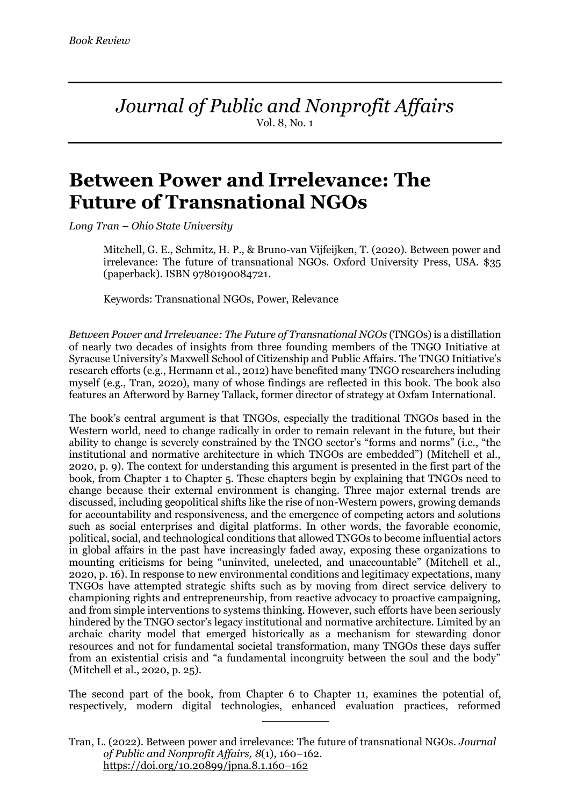*Journal of Public and Nonprofit Affairs* Vol. 8, No. 1

## **Between Power and Irrelevance: The Future of Transnational NGOs**

*Long Tran – Ohio State University*

Mitchell, G. E., Schmitz, H. P., & Bruno-van Vijfeijken, T. (2020). Between power and irrelevance: The future of transnational NGOs. Oxford University Press, USA. \$35 (paperback). ISBN 9780190084721.

Keywords: Transnational NGOs, Power, Relevance

*Between Power and Irrelevance: The Future of Transnational NGOs* (TNGOs) is a distillation of nearly two decades of insights from three founding members of the TNGO Initiative at Syracuse University's Maxwell School of Citizenship and Public Affairs. The TNGO Initiative's research efforts (e.g., Hermann et al., 2012) have benefited many TNGO researchers including myself (e.g., Tran, 2020), many of whose findings are reflected in this book. The book also features an Afterword by Barney Tallack, former director of strategy at Oxfam International.

The book's central argument is that TNGOs, especially the traditional TNGOs based in the Western world, need to change radically in order to remain relevant in the future, but their ability to change is severely constrained by the TNGO sector's "forms and norms" (i.e., "the institutional and normative architecture in which TNGOs are embedded") (Mitchell et al., 2020, p. 9). The context for understanding this argument is presented in the first part of the book, from Chapter 1 to Chapter 5. These chapters begin by explaining that TNGOs need to change because their external environment is changing. Three major external trends are discussed, including geopolitical shifts like the rise of non-Western powers, growing demands for accountability and responsiveness, and the emergence of competing actors and solutions such as social enterprises and digital platforms. In other words, the favorable economic, political, social, and technological conditions that allowed TNGOs to become influential actors in global affairs in the past have increasingly faded away, exposing these organizations to mounting criticisms for being "uninvited, unelected, and unaccountable" (Mitchell et al., 2020, p. 16). In response to new environmental conditions and legitimacy expectations, many TNGOs have attempted strategic shifts such as by moving from direct service delivery to championing rights and entrepreneurship, from reactive advocacy to proactive campaigning, and from simple interventions to systems thinking. However, such efforts have been seriously hindered by the TNGO sector's legacy institutional and normative architecture. Limited by an archaic charity model that emerged historically as a mechanism for stewarding donor resources and not for fundamental societal transformation, many TNGOs these days suffer from an existential crisis and "a fundamental incongruity between the soul and the body" (Mitchell et al., 2020, p. 25).

The second part of the book, from Chapter 6 to Chapter 11, examines the potential of, respectively, modern digital technologies, enhanced evaluation practices, reformed

Tran, L. (2022). Between power and irrelevance: The future of transnational NGOs. *Journal of Public and Nonprofit Affairs, 8*(1), 160–162. https://doi.org/10.20899/jpna.8.1.160–162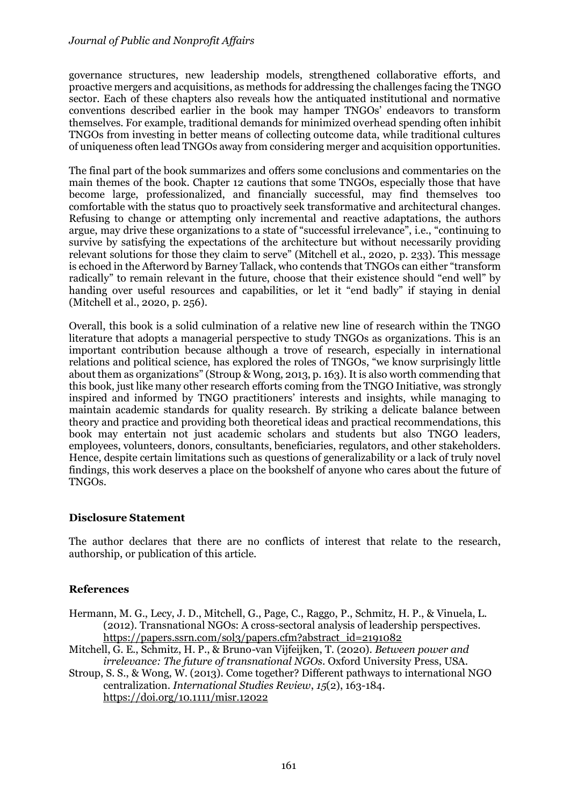governance structures, new leadership models, strengthened collaborative efforts, and proactive mergers and acquisitions, as methods for addressing the challenges facing the TNGO sector. Each of these chapters also reveals how the antiquated institutional and normative conventions described earlier in the book may hamper TNGOs' endeavors to transform themselves. For example, traditional demands for minimized overhead spending often inhibit TNGOs from investing in better means of collecting outcome data, while traditional cultures of uniqueness often lead TNGOs away from considering merger and acquisition opportunities.

The final part of the book summarizes and offers some conclusions and commentaries on the main themes of the book. Chapter 12 cautions that some TNGOs, especially those that have become large, professionalized, and financially successful, may find themselves too comfortable with the status quo to proactively seek transformative and architectural changes. Refusing to change or attempting only incremental and reactive adaptations, the authors argue, may drive these organizations to a state of "successful irrelevance", i.e., "continuing to survive by satisfying the expectations of the architecture but without necessarily providing relevant solutions for those they claim to serve" (Mitchell et al., 2020, p. 233). This message is echoed in the Afterword by Barney Tallack, who contends that TNGOs can either "transform radically" to remain relevant in the future, choose that their existence should "end well" by handing over useful resources and capabilities, or let it "end badly" if staying in denial (Mitchell et al., 2020, p. 256).

Overall, this book is a solid culmination of a relative new line of research within the TNGO literature that adopts a managerial perspective to study TNGOs as organizations. This is an important contribution because although a trove of research, especially in international relations and political science, has explored the roles of TNGOs, "we know surprisingly little about them as organizations" (Stroup & Wong, 2013, p. 163). It is also worth commending that this book, just like many other research efforts coming from the TNGO Initiative, was strongly inspired and informed by TNGO practitioners' interests and insights, while managing to maintain academic standards for quality research. By striking a delicate balance between theory and practice and providing both theoretical ideas and practical recommendations, this book may entertain not just academic scholars and students but also TNGO leaders, employees, volunteers, donors, consultants, beneficiaries, regulators, and other stakeholders. Hence, despite certain limitations such as questions of generalizability or a lack of truly novel findings, this work deserves a place on the bookshelf of anyone who cares about the future of TNGOs.

## **Disclosure Statement**

The author declares that there are no conflicts of interest that relate to the research, authorship, or publication of this article.

## **References**

- Hermann, M. G., Lecy, J. D., Mitchell, G., Page, C., Raggo, P., Schmitz, H. P., & Vinuela, L. (2012). Transnational NGOs: A cross-sectoral analysis of leadership perspectives. https://papers.ssrn.com/sol3/papers.cfm?abstract\_id=2191082
- Mitchell, G. E., Schmitz, H. P., & Bruno-van Vijfeijken, T. (2020). *Between power and irrelevance: The future of transnational NGOs*. Oxford University Press, USA.
- Stroup, S. S., & Wong, W. (2013). Come together? Different pathways to international NGO centralization. *International Studies Review*, *15*(2), 163-184. https://doi.org/10.1111/misr.12022